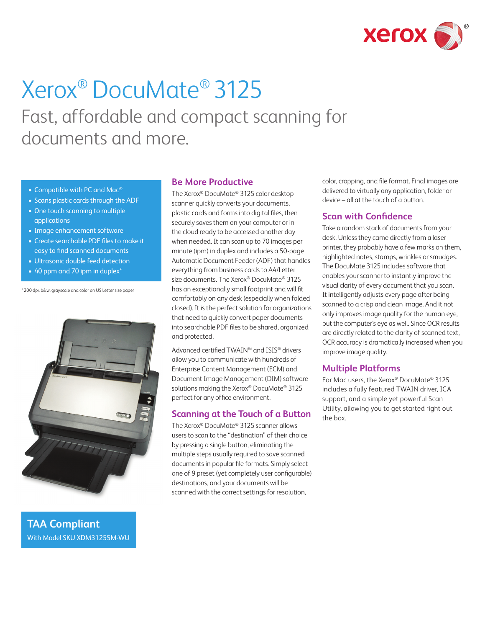

# Xerox® DocuMate® 3125

Fast, affordable and compact scanning for documents and more.

- Compatible with PC and Mac®
- Scans plastic cards through the ADF
- One touch scanning to multiple applications
- Image enhancement software
- Create searchable PDF files to make it easy to find scanned documents
- Ultrasonic double feed detection
- 40 ppm and 70 ipm in duplex<sup>\*</sup>

\* 200 dpi, b&w, grayscale and color on US Letter size paper



**TAA Compliant** With Model SKU XDM31255M-WU

# **Be More Productive**

The Xerox® DocuMate® 3125 color desktop scanner quickly converts your documents, plastic cards and forms into digital files, then securely saves them on your computer or in the cloud ready to be accessed another day when needed. It can scan up to 70 images per minute (ipm) in duplex and includes a 50-page Automatic Document Feeder (ADF) that handles everything from business cards to A4/Letter size documents. The Xerox® DocuMate® 3125 has an exceptionally small footprint and will fit comfortably on any desk (especially when folded closed). It is the perfect solution for organizations that need to quickly convert paper documents into searchable PDF files to be shared, organized and protected.

Advanced certified TWAIN™ and ISIS® drivers allow you to communicate with hundreds of Enterprise Content Management (ECM) and Document Image Management (DIM) software solutions making the Xerox® DocuMate® 3125 perfect for any office environment.

# **Scanning at the Touch of a Button**

The Xerox® DocuMate® 3125 scanner allows users to scan to the "destination" of their choice by pressing a single button, eliminating the multiple steps usually required to save scanned documents in popular file formats. Simply select one of 9 preset (yet completely user configurable) destinations, and your documents will be scanned with the correct settings for resolution,

color, cropping, and file format. Final images are delivered to virtually any application, folder or device – all at the touch of a button.

# **Scan with Confidence**

Take a random stack of documents from your desk. Unless they came directly from a laser printer, they probably have a few marks on them, highlighted notes, stamps, wrinkles or smudges. The DocuMate 3125 includes software that enables your scanner to instantly improve the visual clarity of every document that you scan. It intelligently adjusts every page after being scanned to a crisp and clean image. And it not only improves image quality for the human eye, but the computer's eye as well. Since OCR results are directly related to the clarity of scanned text, OCR accuracy is dramatically increased when you improve image quality.

# **Multiple Platforms**

For Mac users, the Xerox® DocuMate® 3125 includes a fully featured TWAIN driver, ICA support, and a simple yet powerful Scan Utility, allowing you to get started right out the box.